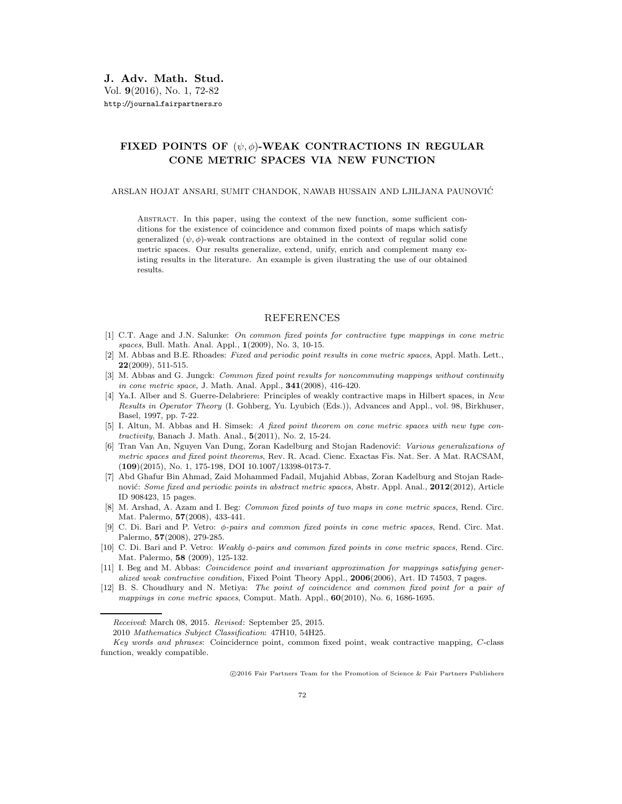## **FIXED POINTS OF** (ψ, φ)**-WEAK CONTRACTIONS IN REGULAR CONE METRIC SPACES VIA NEW FUNCTION**

## ARSLAN HOJAT ANSARI, SUMIT CHANDOK, NAWAB HUSSAIN AND LJILJANA PAUNOVIC´

Abstract. In this paper, using the context of the new function, some sufficient conditions for the existence of coincidence and common fixed points of maps which satisfy generalized  $(\psi, \phi)$ -weak contractions are obtained in the context of regular solid cone metric spaces. Our results generalize, extend, unify, enrich and complement many existing results in the literature. An example is given ilustrating the use of our obtained results.

## REFERENCES

- [1] C.T. Aage and J.N. Salunke: *On common fixed points for contractive type mappings in cone metric spaces*, Bull. Math. Anal. Appl., **1**(2009), No. 3, 10-15.
- [2] M. Abbas and B.E. Rhoades: *Fixed and periodic point results in cone metric spaces*, Appl. Math. Lett., **22**(2009), 511-515.
- [3] M. Abbas and G. Jungck: *Common fixed point results for noncommuting mappings without continuity in cone metric space*, J. Math. Anal. Appl., **341**(2008), 416-420.
- [4] Ya.I. Alber and S. Guerre-Delabriere: Principles of weakly contractive maps in Hilbert spaces, in *New Results in Operator Theory* (I. Gohberg, Yu. Lyubich (Eds.)), Advances and Appl., vol. 98, Birkhuser, Basel, 1997, pp. 7-22.
- [5] I. Altun, M. Abbas and H. Simsek: *A fixed point theorem on cone metric spaces with new type contractivity*, Banach J. Math. Anal., **5**(2011), No. 2, 15-24.
- [6] Tran Van An, Nguyen Van Dung, Zoran Kadelburg and Stojan Radenovi´c: *Various generalizations of metric spaces and fixed point theorems*, Rev. R. Acad. Cienc. Exactas Fis. Nat. Ser. A Mat. RACSAM, (**109**)(2015), No. 1, 175-198, DOI 10.1007/13398-0173-7.
- [7] Abd Ghafur Bin Ahmad, Zaid Mohammed Fadail, Mujahid Abbas, Zoran Kadelburg and Stojan Radenović: *Some fixed and periodic points in abstract metric spaces*, Abstr. Appl. Anal., **2012**(2012), Article ID 908423, 15 pages.
- [8] M. Arshad, A. Azam and I. Beg: *Common fixed points of two maps in cone metric spaces*, Rend. Circ. Mat. Palermo, **57**(2008), 433-441.
- [9] C. Di. Bari and P. Vetro: φ*-pairs and common fixed points in cone metric spaces*, Rend. Circ. Mat. Palermo, **57**(2008), 279-285.
- [10] C. Di. Bari and P. Vetro: *Weakly* φ*-pairs and common fixed points in cone metric spaces*, Rend. Circ. Mat. Palermo, **58** (2009), 125-132.
- [11] I. Beg and M. Abbas: *Coincidence point and invariant approximation for mappings satisfying generalized weak contractive condition*, Fixed Point Theory Appl., **2006**(2006), Art. ID 74503, 7 pages.
- [12] B. S. Choudhury and N. Metiya: *The point of coincidence and common fixed point for a pair of mappings in cone metric spaces*, Comput. Math. Appl., **60**(2010), No. 6, 1686-1695.

2010 *Mathematics Subject Classification*: 47H10, 54H25.

*Key words and phrases*: Coincidernce point, common fixed point, weak contractive mapping, C-class function, weakly compatible.

-c 2016 Fair Partners Team for the Promotion of Science & Fair Partners Publishers

*Received*: March 08, 2015. *Revised*: September 25, 2015.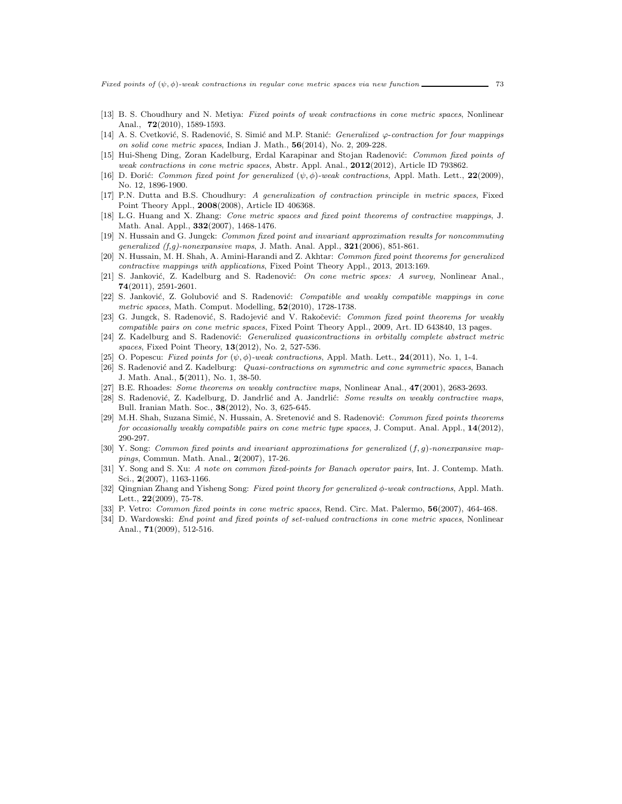*Fixed points of* (ψ, φ)*-weak contractions in regular cone metric spaces via new function* 73

- [13] B. S. Choudhury and N. Metiya: *Fixed points of weak contractions in cone metric spaces*, Nonlinear Anal., **72**(2010), 1589-1593.
- [14] A. S. Cvetković, S. Radenović, S. Simić and M.P. Stanić: *Generalized ϕ-contraction for four mappings on solid cone metric spaces*, Indian J. Math., **56**(2014), No. 2, 209-228.
- [15] Hui-Sheng Ding, Zoran Kadelburg, Erdal Karapinar and Stojan Radenović: *Common fixed points of weak contractions in cone metric spaces*, Abstr. Appl. Anal., **2012**(2012), Article ID 793862.
- [16] D. Đorić: *Common fixed point for generalized*  $(\psi, \phi)$ -weak contractions, Appl. Math. Lett., **22**(2009), No. 12, 1806, 1900 No. 12, 1896-1900.
- [17] P.N. Dutta and B.S. Choudhury: *A generalization of contraction principle in metric spaces*, Fixed Point Theory Appl., **2008**(2008), Article ID 406368.
- [18] L.G. Huang and X. Zhang: *Cone metric spaces and fixed point theorems of contractive mappings*, J. Math. Anal. Appl., **332**(2007), 1468-1476.
- [19] N. Hussain and G. Jungck: *Common fixed point and invariant approximation results for noncommuting generalized (f,g)-nonexpansive maps*, J. Math. Anal. Appl., **321**(2006), 851-861.
- [20] N. Hussain, M. H. Shah, A. Amini-Harandi and Z. Akhtar: *Common fixed point theorems for generalized contractive mappings with applications*, Fixed Point Theory Appl., 2013, 2013:169.
- [21] S. Janković, Z. Kadelburg and S. Radenović: *On cone metric spces: A survey*, Nonlinear Anal., **74**(2011), 2591-2601.
- [22] S. Janković, Z. Golubović and S. Radenović: *Compatible and weakly compatible mappings in cone metric spaces*, Math. Comput. Modelling, **52**(2010), 1728-1738.
- [23] G. Jungck, S. Radenović, S. Radojević and V. Rakočević: *Common fixed point theorems for weakly compatible pairs on cone metric spaces*, Fixed Point Theory Appl., 2009, Art. ID 643840, 13 pages.
- [24] Z. Kadelburg and S. Radenović: *Generalized quasicontractions in orbitally complete abstract metric spaces*, Fixed Point Theory, **13**(2012), No. 2, 527-536.
- [25] O. Popescu: *Fixed points for* (ψ, φ)*-weak contractions*, Appl. Math. Lett., **<sup>24</sup>**(2011), No. 1, 1-4.
- [26] S. Radenović and Z. Kadelburg: *Quasi-contractions on symmetric and cone symmetric spaces*, Banach J. Math. Anal., **5**(2011), No. 1, 38-50.
- [27] B.E. Rhoades: *Some theorems on weakly contractive maps*, Nonlinear Anal., **47**(2001), 2683-2693.
- [28] S. Radenović, Z. Kadelburg, D. Jandrlić and A. Jandrlić: *Some results on weakly contractive maps*, Bull. Iranian Math. Soc., **38**(2012), No. 3, 625-645.
- [29] M.H. Shah, Suzana Simić, N. Hussain, A. Sretenović and S. Radenović: *Common fixed points theorems for occasionally weakly compatible pairs on cone metric type spaces*, J. Comput. Anal. Appl., **14**(2012), 290-297.
- [30] Y. Song: *Common fixed points and invariant approximations for generalized* (f, g)*-nonexpansive mappings*, Commun. Math. Anal., **2**(2007), 17-26.
- [31] Y. Song and S. Xu: *A note on common fixed-points for Banach operator pairs*, Int. J. Contemp. Math. Sci., **2**(2007), 1163-1166.
- [32] Qingnian Zhang and Yisheng Song: *Fixed point theory for generalized* φ*-weak contractions*, Appl. Math. Lett., **22**(2009), 75-78.
- [33] P. Vetro: *Common fixed points in cone metric spaces*, Rend. Circ. Mat. Palermo, **56**(2007), 464-468.
- [34] D. Wardowski: *End point and fixed points of set-valued contractions in cone metric spaces*, Nonlinear Anal., **71**(2009), 512-516.